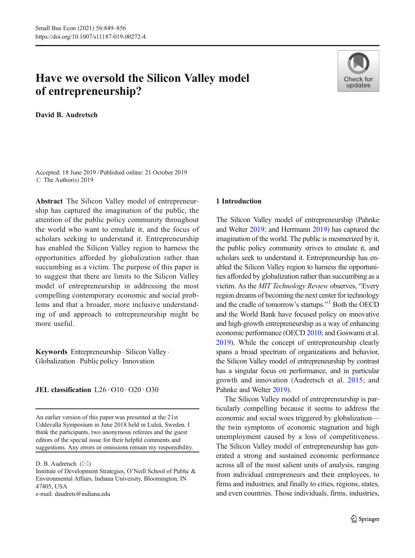# Have we oversold the Silicon Valley model of entrepreneurship?



David B. Audretsch

Accepted: 18 June 2019 /Published online: 21 October 2019 $\circ$  The Author(s) 2019

Abstract The Silicon Valley model of entrepreneurship has captured the imagination of the public, the attention of the public policy community throughout the world who want to emulate it, and the focus of scholars seeking to understand it. Entrepreneurship has enabled the Silicon Valley region to harness the opportunities afforded by globalization rather than succumbing as a victim. The purpose of this paper is to suggest that there are limits to the Silicon Valley model of entrepreneurship in addressing the most compelling contemporary economic and social problems and that a broader, more inclusive understanding of and approach to entrepreneurship might be more useful.

Keywords Entrepreneurship . Silicon Valley. Globalization . Public policy. Innovation

# JEL classification L26 . O10 . O20 . O30

e-mail: daudrets@indiana.edu

#### 1 Introduction

The Silicon Valley model of entrepreneurship (Pahnke and Welter [2019;](#page-7-0) and Herrmann [2019\)](#page-6-0) has captured the imagination of the world. The public is mesmerized by it, the public policy community strives to emulate it, and scholars seek to understand it. Entrepreneurship has enabled the Silicon Valley region to harness the opportunities afforded by globalization rather than succumbing as a victim. As the *MIT Technology Review* observes, "Every region dreams of becoming the next center for technology and the cradle of tomorrow's startups."<sup>[1](#page-5-0)</sup> Both the OECD and the World Bank have focused policy on innovative and high-growth entrepreneurship as a way of enhancing economic performance (OECD [2010;](#page-7-0) and Goswami et al. [2019](#page-6-0)). While the concept of entrepreneurship clearly spans a broad spectrum of organizations and behavior, the Silicon Valley model of entrepreneurship by contrast has a singular focus on performance, and in particular growth and innovation (Audretsch et al. [2015;](#page-6-0) and Pahnke and Welter [2019\)](#page-7-0).

The Silicon Valley model of entrepreneurship is particularly compelling because it seems to address the economic and social woes triggered by globalization the twin symptoms of economic stagnation and high unemployment caused by a loss of competitiveness. The Silicon Valley model of entrepreneurship has generated a strong and sustained economic performance across all of the most salient units of analysis, ranging from individual entrepreneurs and their employees, to firms and industries, and finally to cities, regions, states, and even countries. Those individuals, firms, industries,

An earlier version of this paper was presented at the 21st Uddevalla Symposium in June 2018 held in Luleå, Sweden. I think the participants, two anonymous referees and the guest editors of the special issue for their helpful comments and suggestions. Any errors or omissions remain my responsibility.

D. B. Audretsch  $(\boxtimes)$ 

Institute of Development Strategies, O'Neill School of Public & Environmental Affairs, Indiana University, Bloomington, IN 47405, USA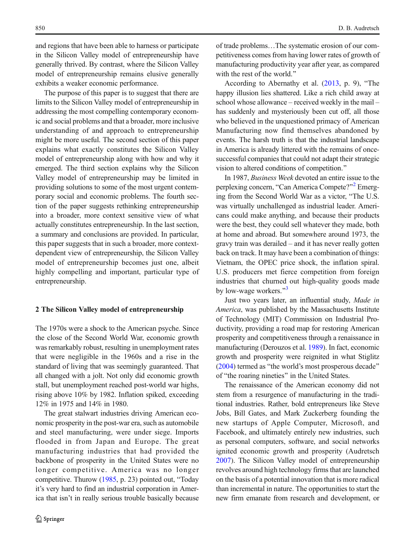and regions that have been able to harness or participate in the Silicon Valley model of entrepreneurship have generally thrived. By contrast, where the Silicon Valley model of entrepreneurship remains elusive generally exhibits a weaker economic performance.

The purpose of this paper is to suggest that there are limits to the Silicon Valley model of entrepreneurship in addressing the most compelling contemporary economic and social problems and that a broader, more inclusive understanding of and approach to entrepreneurship might be more useful. The second section of this paper explains what exactly constitutes the Silicon Valley model of entrepreneurship along with how and why it emerged. The third section explains why the Silicon Valley model of entrepreneurship may be limited in providing solutions to some of the most urgent contemporary social and economic problems. The fourth section of the paper suggests rethinking entrepreneurship into a broader, more context sensitive view of what actually constitutes entrepreneurship. In the last section, a summary and conclusions are provided. In particular, this paper suggests that in such a broader, more contextdependent view of entrepreneurship, the Silicon Valley model of entrepreneurship becomes just one, albeit highly compelling and important, particular type of entrepreneurship.

#### 2 The Silicon Valley model of entrepreneurship

The 1970s were a shock to the American psyche. Since the close of the Second World War, economic growth was remarkably robust, resulting in unemployment rates that were negligible in the 1960s and a rise in the standard of living that was seemingly guaranteed. That all changed with a jolt. Not only did economic growth stall, but unemployment reached post-world war highs, rising above 10% by 1982. Inflation spiked, exceeding 12% in 1975 and 14% in 1980.

The great stalwart industries driving American economic prosperity in the post-war era, such as automobile and steel manufacturing, were under siege. Imports flooded in from Japan and Europe. The great manufacturing industries that had provided the backbone of prosperity in the United States were no longer competitive. America was no longer competitive. Thurow  $(1985, p. 23)$  $(1985, p. 23)$  pointed out, "Today" it's very hard to find an industrial corporation in America that isn't in really serious trouble basically because of trade problems…The systematic erosion of our competitiveness comes from having lower rates of growth of manufacturing productivity year after year, as compared with the rest of the world."

According to Abernathy et al.  $(2013, p. 9)$  $(2013, p. 9)$  $(2013, p. 9)$ , "The happy illusion lies shattered. Like a rich child away at school whose allowance – received weekly in the mail – has suddenly and mysteriously been cut off, all those who believed in the unquestioned primacy of American Manufacturing now find themselves abandoned by events. The harsh truth is that the industrial landscape in America is already littered with the remains of oncesuccessful companies that could not adapt their strategic vision to altered conditions of competition."

In 1987, Business Week devoted an entire issue to the perplexing concern, "Can America Compete?"<sup>[2](#page-5-0)</sup> Emerging from the Second World War as a victor, "The U.S. was virtually unchallenged as industrial leader. Americans could make anything, and because their products were the best, they could sell whatever they made, both at home and abroad. But somewhere around 1973, the gravy train was derailed – and it has never really gotten back on track. It may have been a combination of things: Vietnam, the OPEC price shock, the inflation spiral. U.S. producers met fierce competition from foreign industries that churned out high-quality goods made by low-wage workers. $\frac{33}{4}$  $\frac{33}{4}$  $\frac{33}{4}$ 

Just two years later, an influential study, Made in America, was published by the Massachusetts Institute of Technology (MIT) Commission on Industrial Productivity, providing a road map for restoring American prosperity and competitiveness through a renaissance in manufacturing (Derouzos et al. [1989\)](#page-6-0). In fact, economic growth and prosperity were reignited in what Stiglitz  $(2004)$  termed as "the world's most prosperous decade" of "the roaring nineties" in the United States.

The renaissance of the American economy did not stem from a resurgence of manufacturing in the traditional industries. Rather, bold entrepreneurs like Steve Jobs, Bill Gates, and Mark Zuckerberg founding the new startups of Apple Computer, Microsoft, and Facebook, and ultimately entirely new industries, such as personal computers, software, and social networks ignited economic growth and prosperity (Audretsch [2007\)](#page-6-0). The Silicon Valley model of entrepreneurship revolves around high technology firms that are launched on the basis of a potential innovation that is more radical than incremental in nature. The opportunities to start the new firm emanate from research and development, or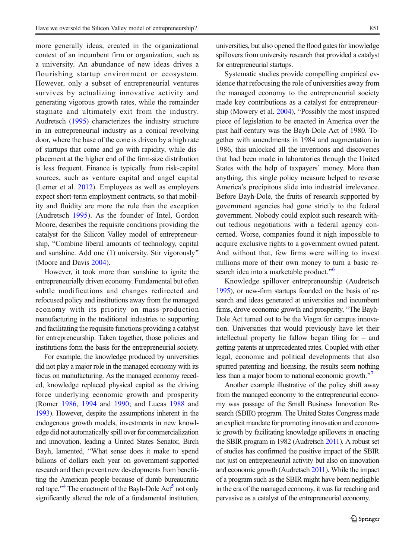more generally ideas, created in the organizational context of an incumbent firm or organization, such as a university. An abundance of new ideas drives a flourishing startup environment or ecosystem. However, only a subset of entrepreneurial ventures survives by actualizing innovative activity and generating vigorous growth rates, while the remainder stagnate and ultimately exit from the industry. Audretsch [\(1995\)](#page-6-0) characterizes the industry structure in an entrepreneurial industry as a conical revolving door, where the base of the cone is driven by a high rate of startups that come and go with rapidity, while displacement at the higher end of the firm-size distribution is less frequent. Finance is typically from risk-capital sources, such as venture capital and angel capital (Lerner et al. [2012](#page-6-0)). Employees as well as employers expect short-term employment contracts, so that mobility and fluidity are more the rule than the exception (Audretsch [1995\)](#page-6-0). As the founder of Intel, Gordon Moore, describes the requisite conditions providing the catalyst for the Silicon Valley model of entrepreneurship, "Combine liberal amounts of technology, capital and sunshine. Add one (1) university. Stir vigorously^ (Moore and Davis [2004](#page-6-0)).

However, it took more than sunshine to ignite the entrepreneurially driven economy. Fundamental but often subtle modifications and changes redirected and refocused policy and institutions away from the managed economy with its priority on mass-production manufacturing in the traditional industries to supporting and facilitating the requisite functions providing a catalyst for entrepreneurship. Taken together, those policies and institutions form the basis for the entrepreneurial society.

For example, the knowledge produced by universities did not play a major role in the managed economy with its focus on manufacturing. As the managed economy receded, knowledge replaced physical capital as the driving force underlying economic growth and prosperity (Romer [1986,](#page-7-0) [1994](#page-7-0) and [1990](#page-7-0); and Lucas [1988](#page-6-0) and [1993\)](#page-6-0). However, despite the assumptions inherent in the endogenous growth models, investments in new knowledge did not automatically spill over for commercialization and innovation, leading a United States Senator, Birch Bayh, lamented, "What sense does it make to spend billions of dollars each year on government-supported research and then prevent new developments from benefitting the American people because of dumb bureaucratic red tape.<sup>\*\*[4](#page-5-0)</sup> The enactment of the Bayh-Dole Act<sup>[5](#page-5-0)</sup> not only significantly altered the role of a fundamental institution,

universities, but also opened the flood gates for knowledge spillovers from university research that provided a catalyst for entrepreneurial startups.

Systematic studies provide compelling empirical evidence that refocusing the role of universities away from the managed economy to the entrepreneurial society made key contributions as a catalyst for entrepreneurship (Mowery et al.  $2004$ ), "Possibly the most inspired piece of legislation to be enacted in America over the past half-century was the Bayh-Dole Act of 1980. Together with amendments in 1984 and augmentation in 1986, this unlocked all the inventions and discoveries that had been made in laboratories through the United States with the help of taxpayers' money. More than anything, this single policy measure helped to reverse America's precipitous slide into industrial irrelevance. Before Bayh-Dole, the fruits of research supported by government agencies had gone strictly to the federal government. Nobody could exploit such research without tedious negotiations with a federal agency concerned. Worse, companies found it nigh impossible to acquire exclusive rights to a government owned patent. And without that, few firms were willing to invest millions more of their own money to turn a basic re-search idea into a marketable product.<sup>"[6](#page-5-0)</sup>

Knowledge spillover entrepreneurship (Audretsch [1995\)](#page-6-0), or new-firm startups founded on the basis of research and ideas generated at universities and incumbent firms, drove economic growth and prosperity, "The Bayh-Dole Act turned out to be the Viagra for campus innovation. Universities that would previously have let their intellectual property lie fallow began filing for – and getting patents at unprecedented rates. Coupled with other legal, economic and political developments that also spurred patenting and licensing, the results seem nothing less than a major boom to national economic growth.<sup>[7](#page-5-0)7</sup>

Another example illustrative of the policy shift away from the managed economy to the entrepreneurial economy was passage of the Small Business Innovation Research (SBIR) program. The United States Congress made an explicit mandate for promoting innovation and economic growth by facilitating knowledge spillovers in enacting the SBIR program in 1982 (Audretsch [2011\)](#page-6-0). A robust set of studies has confirmed the positive impact of the SBIR not just on entrepreneurial activity but also on innovation and economic growth (Audretsch [2011](#page-6-0)). While the impact of a program such as the SBIR might have been negligible in the era of the managed economy, it was far reaching and pervasive as a catalyst of the entrepreneurial economy.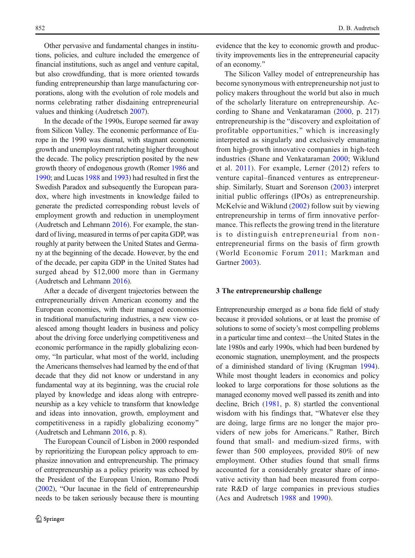Other pervasive and fundamental changes in institutions, policies, and culture included the emergence of financial institutions, such as angel and venture capital, but also crowdfunding, that is more oriented towards funding entrepreneurship than large manufacturing corporations, along with the evolution of role models and norms celebrating rather disdaining entrepreneurial values and thinking (Audretsch [2007\)](#page-6-0).

In the decade of the 1990s, Europe seemed far away from Silicon Valley. The economic performance of Europe in the 1990 was dismal, with stagnant economic growth and unemployment ratcheting higher throughout the decade. The policy prescription posited by the new growth theory of endogenous growth (Romer [1986](#page-7-0) and [1990](#page-7-0); and Lucas [1988](#page-6-0) and [1993\)](#page-6-0) had resulted in first the Swedish Paradox and subsequently the European paradox, where high investments in knowledge failed to generate the predicted corresponding robust levels of employment growth and reduction in unemployment (Audretsch and Lehmann [2016\)](#page-6-0). For example, the standard of living, measured in terms of per capita GDP, was roughly at parity between the United States and Germany at the beginning of the decade. However, by the end of the decade, per capita GDP in the United States had surged ahead by \$12,000 more than in Germany (Audretsch and Lehmann [2016](#page-6-0)).

After a decade of divergent trajectories between the entrepreneurially driven American economy and the European economies, with their managed economies in traditional manufacturing industries, a new view coalesced among thought leaders in business and policy about the driving force underlying competitiveness and economic performance in the rapidly globalizing economy, "In particular, what most of the world, including the Americans themselves had learned by the end of that decade that they did not know or understand in any fundamental way at its beginning, was the crucial role played by knowledge and ideas along with entrepreneurship as a key vehicle to transform that knowledge and ideas into innovation, growth, employment and competitiveness in a rapidly globalizing economy^ (Audretsch and Lehmann [2016](#page-6-0), p. 8).

The European Council of Lisbon in 2000 responded by reprioritizing the European policy approach to emphasize innovation and entrepreneurship. The primacy of entrepreneurship as a policy priority was echoed by the President of the European Union, Romano Prodi  $(2002)$  $(2002)$  $(2002)$ , "Our lacunae in the field of entrepreneurship needs to be taken seriously because there is mounting evidence that the key to economic growth and productivity improvements lies in the entrepreneurial capacity of an economy.^

The Silicon Valley model of entrepreneurship has become synonymous with entrepreneurship not just to policy makers throughout the world but also in much of the scholarly literature on entrepreneurship. According to Shane and Venkataraman [\(2000,](#page-7-0) p. 217) entrepreneurship is the "discovery and exploitation of profitable opportunities," which is increasingly interpreted as singularly and exclusively emanating from high-growth innovative companies in high-tech industries (Shane and Venkataraman [2000;](#page-7-0) Wiklund et al. [2011](#page-7-0)). For example, Lerner (2012) refers to venture capital–financed ventures as entrepreneurship. Similarly, Stuart and Sorenson [\(2003\)](#page-7-0) interpret initial public offerings (IPOs) as entrepreneurship. McKelvie and Wiklund ([2002\)](#page-6-0) follow suit by viewing entrepreneurship in terms of firm innovative performance. This reflects the growing trend in the literature is to distinguish entrepreneurial from nonentrepreneurial firms on the basis of firm growth (World Economic Forum [2011;](#page-7-0) Markman and Gartner [2003](#page-6-0)).

#### 3 The entrepreneurship challenge

Entrepreneurship emerged as a bona fide field of study because it provided solutions, or at least the promise of solutions to some of society's most compelling problems in a particular time and context—the United States in the late 1980s and early 1990s, which had been burdened by economic stagnation, unemployment, and the prospects of a diminished standard of living (Krugman [1994\)](#page-6-0). While most thought leaders in economics and policy looked to large corporations for those solutions as the managed economy moved well passed its zenith and into decline, Brich [\(1981](#page-6-0), p. 8) startled the conventional wisdom with his findings that, "Whatever else they are doing, large firms are no longer the major providers of new jobs for Americans.^ Rather, Birch found that small- and medium-sized firms, with fewer than 500 employees, provided 80% of new employment. Other studies found that small firms accounted for a considerably greater share of innovative activity than had been measured from corporate R&D of large companies in previous studies (Acs and Audretsch [1988](#page-6-0) and [1990\)](#page-6-0).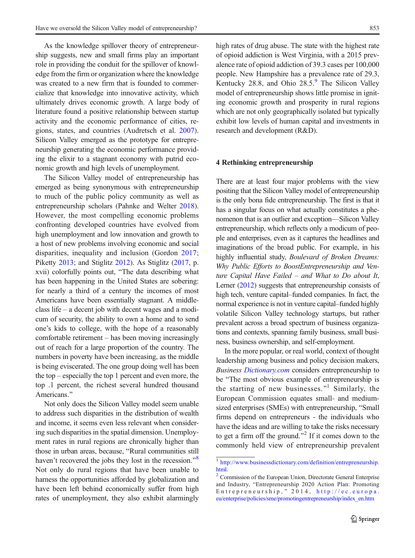As the knowledge spillover theory of entrepreneurship suggests, new and small firms play an important role in providing the conduit for the spillover of knowledge from the firm or organization where the knowledge was created to a new firm that is founded to commercialize that knowledge into innovative activity, which ultimately drives economic growth. A large body of literature found a positive relationship between startup activity and the economic performance of cities, regions, states, and countries (Audretsch et al. [2007](#page-6-0)). Silicon Valley emerged as the prototype for entrepreneurship generating the economic performance providing the elixir to a stagnant economy with putrid economic growth and high levels of unemployment.

The Silicon Valley model of entrepreneurship has emerged as being synonymous with entrepreneurship to much of the public policy community as well as entrepreneurship scholars (Pahnke and Welter [2018\)](#page-7-0). However, the most compelling economic problems confronting developed countries have evolved from high unemployment and low innovation and growth to a host of new problems involving economic and social disparities, inequality and inclusion (Gordon [2017](#page-6-0); Piketty [2013](#page-7-0); and Stiglitz [2012\)](#page-7-0). As Stiglitz [\(2017,](#page-7-0) p. xvii) colorfully points out, "The data describing what has been happening in the United States are sobering: for nearly a third of a century the incomes of most Americans have been essentially stagnant. A middleclass life – a decent job with decent wages and a modicum of security, the ability to own a home and to send one's kids to college, with the hope of a reasonably comfortable retirement – has been moving increasingly out of reach for a large proportion of the country. The numbers in poverty have been increasing, as the middle is being eviscerated. The one group doing well has been the top – especially the top 1 percent and even more, the top .1 percent, the richest several hundred thousand Americans."

Not only does the Silicon Valley model seem unable to address such disparities in the distribution of wealth and income, it seems even less relevant when considering such disparities in the spatial dimension. Unemployment rates in rural regions are chronically higher than those in urban areas, because, "Rural communities still haven't recovered the jobs they lost in the recession. $\mathbf{^{88}}$  $\mathbf{^{88}}$  $\mathbf{^{88}}$ Not only do rural regions that have been unable to harness the opportunities afforded by globalization and have been left behind economically suffer from high rates of unemployment, they also exhibit alarmingly high rates of drug abuse. The state with the highest rate of opioid addiction is West Virginia, with a 2015 prevalence rate of opioid addiction of 39.3 cases per 100,000 people. New Hampshire has a prevalence rate of 29.3, Kentucky 28.8, and Ohio 28.5.<sup>[9](#page-5-0)</sup> The Silicon Valley model of entrepreneurship shows little promise in igniting economic growth and prosperity in rural regions which are not only geographically isolated but typically exhibit low levels of human capital and investments in research and development (R&D).

#### 4 Rethinking entrepreneurship

There are at least four major problems with the view positing that the Silicon Valley model of entrepreneurship is the only bona fide entrepreneurship. The first is that it has a singular focus on what actually constitutes a phenomenon that is an outlier and exception—Silicon Valley entrepreneurship, which reflects only a modicum of people and enterprises, even as it captures the headlines and imaginations of the broad public. For example, in his highly influential study, Boulevard of Broken Dreams: Why Public Efforts to BoostEntrepreneurship and Venture Capital Have Failed – and What to Do about It, Lerner [\(2012](#page-6-0)) suggests that entrepreneurship consists of high tech, venture capital–funded companies. In fact, the normal experience is not in venture capital–funded highly volatile Silicon Valley technology startups, but rather prevalent across a broad spectrum of business organizations and contexts, spanning family business, small business, business ownership, and self-employment.

In the more popular, or real world, context of thought leadership among business and policy decision makers, Business [Dictionary.com](http://dictionary.com) considers entrepreneurship to be "The most obvious example of entrepreneurship is the starting of new businesses. $1$ <sup>1</sup> Similarly, the European Commission equates small- and mediumsized enterprises (SMEs) with entrepreneurship, "Small firms depend on entrepreneurs - the individuals who have the ideas and are willing to take the risks necessary to get a firm off the ground.<sup> $2$ </sup> If it comes down to the commonly held view of entrepreneurship prevalent

<sup>1</sup> [http://www.businessdictionary.com/definition/entrepreneurship.](http://www.businessdictionary.com/definition/entrepreneurship.html)

[html.](http://www.businessdictionary.com/definition/entrepreneurship.html)<br><sup>2</sup> Commission of the European Union, Directorate General Enterprise and Industry, "Entrepreneurship 2020 Action Plan: Promoting Entrepreneurship, ^ 2014, [http://ec.europa.](http://ec.europa.eu/enterprise/policies/sme/promotingentrepreneurship/index_en.htm) [eu/enterprise/policies/sme/promotingentrepreneurship/index\\_en.htm](http://ec.europa.eu/enterprise/policies/sme/promotingentrepreneurship/index_en.htm)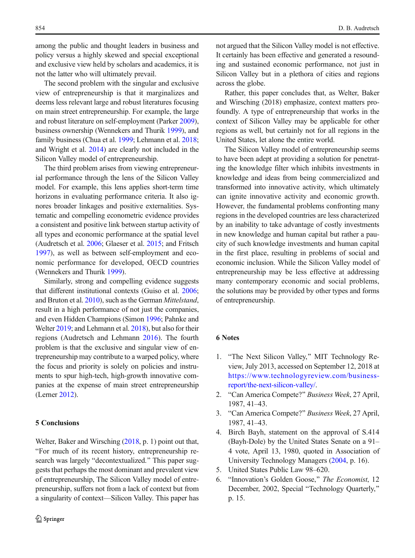<span id="page-5-0"></span>among the public and thought leaders in business and policy versus a highly skewed and special exceptional and exclusive view held by scholars and academics, it is not the latter who will ultimately prevail.

The second problem with the singular and exclusive view of entrepreneurship is that it marginalizes and deems less relevant large and robust literatures focusing on main street entrepreneurship. For example, the large and robust literature on self-employment (Parker [2009\)](#page-7-0), business ownership (Wennekers and Thurik [1999\)](#page-7-0), and family business (Chua et al. [1999](#page-6-0); Lehmann et al. [2018](#page-6-0); and Wright et al. [2014\)](#page-7-0) are clearly not included in the Silicon Valley model of entrepreneurship.

The third problem arises from viewing entrepreneurial performance through the lens of the Silicon Valley model. For example, this lens applies short-term time horizons in evaluating performance criteria. It also ignores broader linkages and positive externalities. Systematic and compelling econometric evidence provides a consistent and positive link between startup activity of all types and economic performance at the spatial level (Audretsch et al. [2006;](#page-6-0) Glaeser et al. [2015](#page-6-0); and Fritsch [1997](#page-6-0)), as well as between self-employment and economic performance for developed, OECD countries (Wennekers and Thurik [1999\)](#page-7-0).

Similarly, strong and compelling evidence suggests that different institutional contexts (Guiso et al. [2006](#page-6-0); and Bruton et al. [2010\)](#page-6-0), such as the German Mittelstand, result in a high performance of not just the companies, and even Hidden Champions (Simon [1996](#page-7-0); Pahnke and Welter [2019;](#page-7-0) and Lehmann et al. [2018](#page-6-0)), but also for their regions (Audretsch and Lehmann [2016](#page-6-0)). The fourth problem is that the exclusive and singular view of entrepreneurship may contribute to a warped policy, where the focus and priority is solely on policies and instruments to spur high-tech, high-growth innovative companies at the expense of main street entrepreneurship (Lerner [2012\)](#page-6-0).

# 5 Conclusions

Welter, Baker and Wirsching [\(2018,](#page-7-0) p. 1) point out that, BFor much of its recent history, entrepreneurship research was largely "decontextualized." This paper suggests that perhaps the most dominant and prevalent view of entrepreneurship, The Silicon Valley model of entrepreneurship, suffers not from a lack of context but from a singularity of context—Silicon Valley. This paper has not argued that the Silicon Valley model is not effective. It certainly has been effective and generated a resounding and sustained economic performance, not just in Silicon Valley but in a plethora of cities and regions across the globe.

Rather, this paper concludes that, as Welter, Baker and Wirsching (2018) emphasize, context matters profoundly. A type of entrepreneurship that works in the context of Silicon Valley may be applicable for other regions as well, but certainly not for all regions in the United States, let alone the entire world.

The Silicon Valley model of entrepreneurship seems to have been adept at providing a solution for penetrating the knowledge filter which inhibits investments in knowledge and ideas from being commercialized and transformed into innovative activity, which ultimately can ignite innovative activity and economic growth. However, the fundamental problems confronting many regions in the developed countries are less characterized by an inability to take advantage of costly investments in new knowledge and human capital but rather a paucity of such knowledge investments and human capital in the first place, resulting in problems of social and economic inclusion. While the Silicon Valley model of entrepreneurship may be less effective at addressing many contemporary economic and social problems, the solutions may be provided by other types and forms of entrepreneurship.

## 6 Notes

- 1. "The Next Silicon Valley," MIT Technology Review, July 2013, accessed on September 12, 2018 at [https://www.technologyreview.com/business](https://www.technologyreview.com/business-report/the-next-silicon-valley/)[report/the-next-silicon-valley/](https://www.technologyreview.com/business-report/the-next-silicon-valley/).
- 2. "Can America Compete?" Business Week, 27 April, 1987, 41–43.
- 3. "Can America Compete?" Business Week, 27 April, 1987, 41–43.
- 4. Birch Bayh, statement on the approval of S.414 (Bayh-Dole) by the United States Senate on a 91– 4 vote, April 13, 1980, quoted in Association of University Technology Managers [\(2004,](#page-6-0) p. 16).
- 5. United States Public Law 98–620.
- 6. "Innovation's Golden Goose," The Economist, 12 December, 2002, Special "Technology Quarterly," p. 15.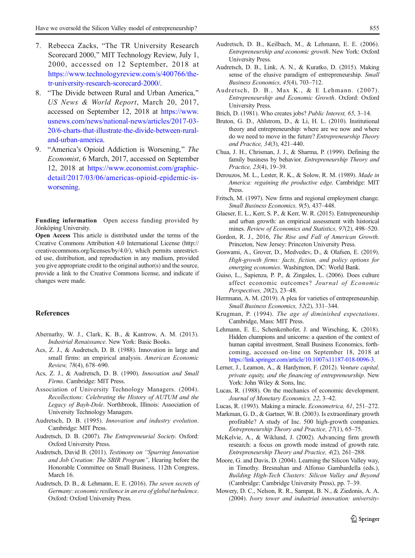- <span id="page-6-0"></span>7. Rebecca Zacks, "The TR University Research" Scorecard 2000," MIT Technology Review, July 1, 2000, accessed on 12 September, 2018 at [https://www.technologyreview.com/s/400766/the](https://www.technologyreview.com/s/400766/the-tr-university-research-scorecard-2000/)[tr-university-research-scorecard-2000/](https://www.technologyreview.com/s/400766/the-tr-university-research-scorecard-2000/).
- 8. "The Divide between Rural and Urban America." US News & World Report, March 20, 2017, accessed on September 12, 2018 at [https://www.](https://www.usnews.com/news/national-news/articles/2017-03-20/6-charts-that-illustrate-the-divide-between-rural-and-urban-america) [usnews.com/news/national-news/articles/2017-03-](https://www.usnews.com/news/national-news/articles/2017-03-20/6-charts-that-illustrate-the-divide-between-rural-and-urban-america) [20/6-charts-that-illustrate-the-divide-between-rural](https://www.usnews.com/news/national-news/articles/2017-03-20/6-charts-that-illustrate-the-divide-between-rural-and-urban-america)[and-urban-america.](https://www.usnews.com/news/national-news/articles/2017-03-20/6-charts-that-illustrate-the-divide-between-rural-and-urban-america)
- 9. "America's Opioid Addiction is Worsening," The Economist, 6 March, 2017, accessed on September 12, 2018 at [https://www.economist.com/graphic](https://www.economist.com/graphic-detail/2017/03/06/americas-opioid-epidemic-is-worsening)[detail/2017/03/06/americas-opioid-epidemic-is](https://www.economist.com/graphic-detail/2017/03/06/americas-opioid-epidemic-is-worsening)[worsening](https://www.economist.com/graphic-detail/2017/03/06/americas-opioid-epidemic-is-worsening).

Funding information Open access funding provided by Jönköping University.

Open Access This article is distributed under the terms of the Creative Commons Attribution 4.0 International License (http:// creativecommons.org/licenses/by/4.0/), which permits unrestricted use, distribution, and reproduction in any medium, provided you give appropriate credit to the original author(s) and the source, provide a link to the Creative Commons license, and indicate if changes were made.

### References

- Abernathy, W. J., Clark, K. B., & Kantrow, A. M. (2013). Industrial Renaissance. New York: Basic Books.
- Acs, Z. J., & Audretsch, D. B. (1988). Innovation in large and small firms: an empirical analysis. American Economic Review, 78(4), 678–690.
- Acs, Z. J., & Audretsch, D. B. (1990). Innovation and Small Firms. Cambridge: MIT Press.
- Association of University Technology Managers. (2004). Recollections: Celebrating the History of AUTUM and the Legacy of Bayh-Dole. Northbrook, Illinois: Association of University Technology Managers.
- Audretsch, D. B. (1995). Innovation and industry evolution. Cambridge: MIT Press.
- Audretsch, D. B. (2007). The Entrepreneurial Society. Oxford: Oxford University Press.
- Audretsch, David B. (2011). Testimony on "Spurring Innovation and Job Creation: The SBIR Program", Hearing before the Honorable Committee on Small Business, 112th Congress, March 16.
- Audretsch, D. B., & Lehmann, E. E. (2016). The seven secrets of Germany: economic resilience in an era of global turbulence. Oxford: Oxford University Press.
- Audretsch, D. B., Keilbach, M., & Lehmann, E. E. (2006). Entrepreneurship and economic growth. New York: Oxford University Press.
- Audretsch, D. B., Link, A. N., & Kuratko, D. (2015). Making sense of the elusive paradigm of entrepreneurship. Small Business Economics, 45(4), 703–712.
- Audretsch, D. B., Max K., & E Lehmann. (2007). Entrepreneurship and Economic Growth. Oxford: Oxford University Press.
- Brich, D. (1981). Who creates jobs? Public Interest, 65, 3–14.
- Bruton, G. D., Ahlstrom, D., & Li, H. L. (2010). Institutional theory and entrepreneurship: where are we now and where do we need to move in the future? Entrepreneurship Theory and Practice, 34(3), 421–440.
- Chua, J. H., Chrisman, J. J., & Sharma, P. (1999). Defining the family business by behavior. Entrepreneurship Theory and Practice, 23(4), 19–39.
- Derouzos, M. L., Lester, R. K., & Solow, R. M. (1989). Made in America: regaining the productive edge. Cambridge: MIT Press.
- Fritsch, M. (1997). New firms and regional employment change. Small Business Economics, 9(5), 437–448.
- Glaeser, E. L., Kerr, S. P., & Kerr, W. R. (2015). Entrepreneurship and urban growth: an empirical assessment with historical mines. Review of Economics and Statistics, 97(2), 498–520.
- Gordon, R. J., 2016, The Rise and Fall of American Growth. Princeton, New Jersey: Princeton University Press.
- Goswami, A., Grover, D., Medvedev, D., & Olafsen, E. (2019). High-growth firms: facts, fiction, and policy options for emerging economies. Washington, DC: World Bank.
- Guiso, L., Sapienza, P. P., & Zingales, L. (2006). Does culture affect economic outcomes? Journal of Economic Perspectives, 20(2), 23–48.
- Herrmann, A. M. (2019). A plea for varieties of entrepreneurship. Small Business Economics, 52(2), 331–344.
- Krugman, P. (1994). The age of diminished expectations. Cambridge, Mass: MIT Press.
- Lehmann, E. E., Schenkenhofer, J. and Wirsching, K. (2018). Hidden champions and unicorns: a question of the context of human capital investment, Small Business Economics, forthcoming, accessed on-line on September 18, 2018 at <https://link.springer.com/article/10.1007/s11187-018-0096-3>.
- Lerner, J., Leamon, A., & Hardymon, F. (2012). Venture capital, private equity, and the financing of entrepreneurship. New York: John Wiley & Sons, Inc.
- Lucas, R. (1988). On the mechanics of economic development. Journal of Monetary Economics, 22, 3–42.
- Lucas, R. (1993). Making a miracle. Econometrica, 61, 251–272.
- Markman, G. D., & Gartner, W. B. (2003). Is extraordinary growth profitable? A study of Inc. 500 high-growth companies. Entrepreneurship Theory and Practice, 27(1), 65–75.
- McKelvie, A., & Wiklund, J. (2002). Advancing firm growth research: a focus on growth mode instead of growth rate. Entrepreneurship Theory and Practice, 4(2), 261–288.
- Moore, G. and Davis, D. (2004). Learning the Silicon Valley way, in Timothy. Bresnahan and Alfonso Gambardella (eds.), Building High-Tech Clusters: Silicon Valley and Beyond (Cambridge: Cambridge University Press), pp. 7–39.
- Mowery, D. C., Nelson, R. R., Sampat, B. N., & Ziedonis, A. A. (2004). Ivory tower and industrial innovation: university-